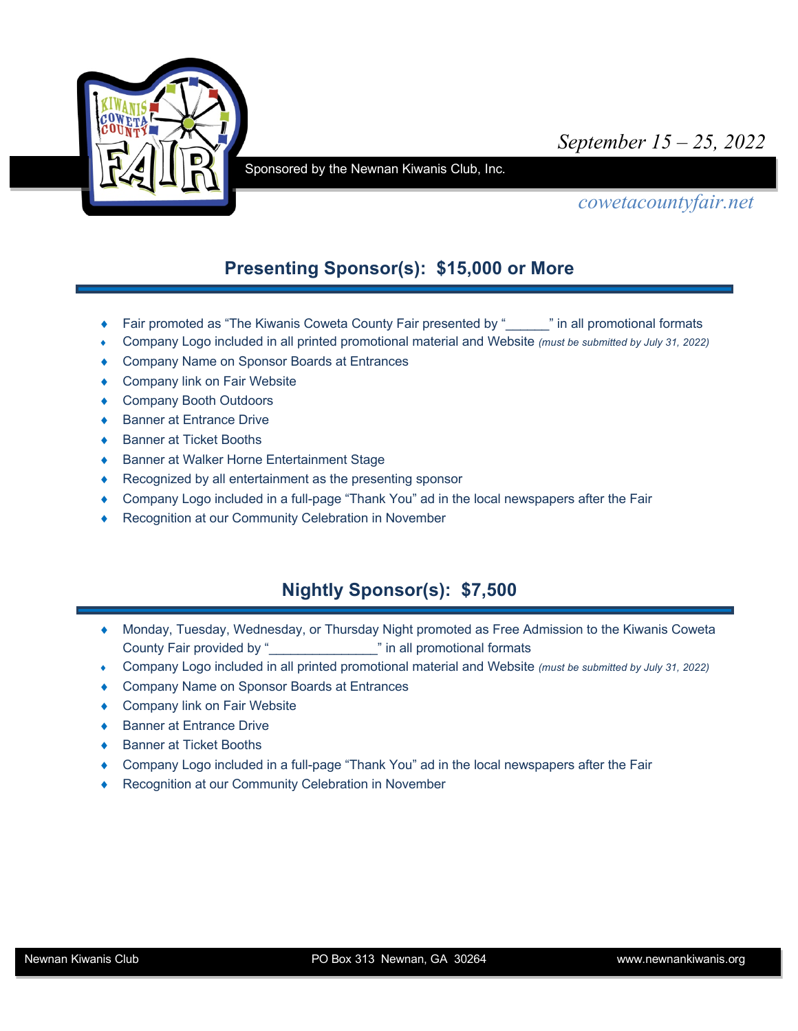

# *September 15 – 25, 2022*

Sponsored by the Newnan Kiwanis Club, Inc.

### *cowetacountyfair.net*

### **Presenting Sponsor(s): \$15,000 or More**

- ◆ Fair promoted as "The Kiwanis Coweta County Fair presented by " " in all promotional formats
- ¨ Company Logo included in all printed promotional material and Website *(must be submitted by July 31, 2022)*
- ◆ Company Name on Sponsor Boards at Entrances
- ◆ Company link on Fair Website
- ◆ Company Booth Outdoors
- ◆ Banner at Entrance Drive
- **Banner at Ticket Booths**
- ◆ Banner at Walker Horne Entertainment Stage
- $\triangle$  Recognized by all entertainment as the presenting sponsor
- $\bullet$  Company Logo included in a full-page "Thank You" ad in the local newspapers after the Fair
- ◆ Recognition at our Community Celebration in November

## **Nightly Sponsor(s): \$7,500**

- ◆ Monday, Tuesday, Wednesday, or Thursday Night promoted as Free Admission to the Kiwanis Coweta County Fair provided by "\_\_\_\_\_\_\_\_\_\_\_\_\_\_\_" in all promotional formats
- ¨ Company Logo included in all printed promotional material and Website *(must be submitted by July 31, 2022)*
- ◆ Company Name on Sponsor Boards at Entrances
- ◆ Company link on Fair Website
- ◆ Banner at Entrance Drive
- ◆ Banner at Ticket Booths
- ◆ Company Logo included in a full-page "Thank You" ad in the local newspapers after the Fair
- ◆ Recognition at our Community Celebration in November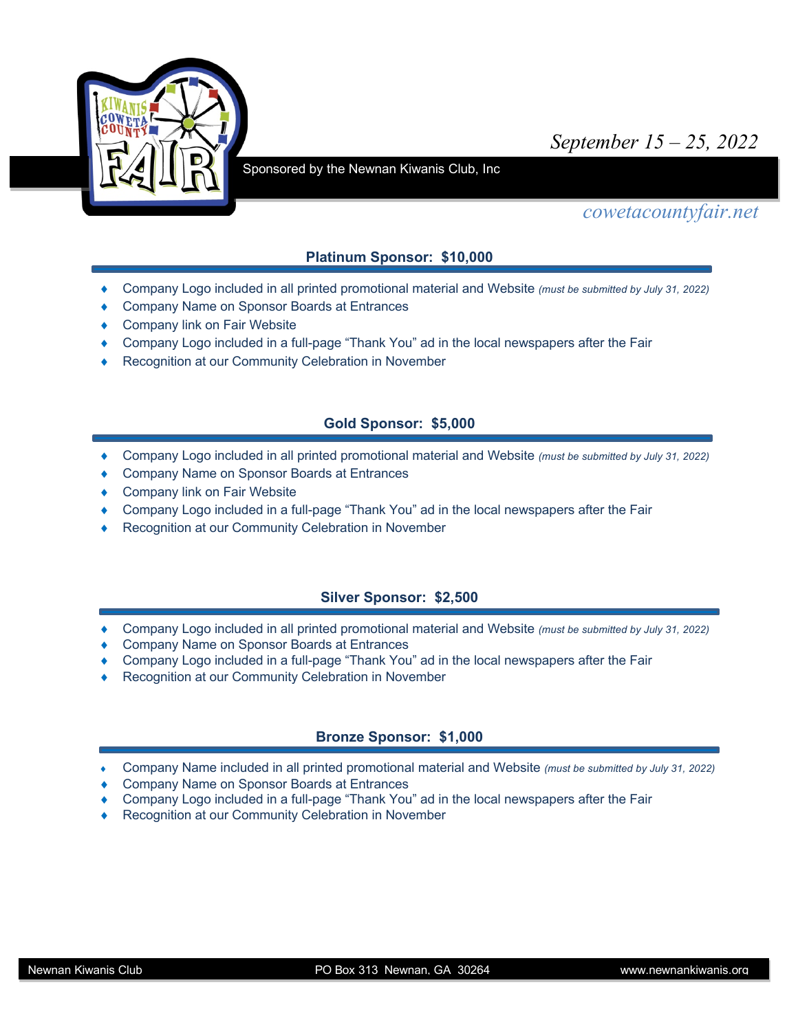

# *September 15 – 25, 2022*

Sponsored by the Newnan Kiwanis Club, Inc

### *cowetacountyfair.net*

#### **Platinum Sponsor: \$10,000**

- ¨ Company Logo included in all printed promotional material and Website *(must be submitted by July 31, 2022)*
- Company Name on Sponsor Boards at Entrances
- Company link on Fair Website
- ¨ Company Logo included in a full-page "Thank You" ad in the local newspapers after the Fair
- Recognition at our Community Celebration in November

#### **Gold Sponsor: \$5,000**

- ¨ Company Logo included in all printed promotional material and Website *(must be submitted by July 31, 2022)*
- Company Name on Sponsor Boards at Entrances
- Company link on Fair Website
- Company Logo included in a full-page "Thank You" ad in the local newspapers after the Fair
- Recognition at our Community Celebration in November

#### **Silver Sponsor: \$2,500**

- ¨ Company Logo included in all printed promotional material and Website *(must be submitted by July 31, 2022)*
- Company Name on Sponsor Boards at Entrances
- ◆ Company Logo included in a full-page "Thank You" ad in the local newspapers after the Fair
- Recognition at our Community Celebration in November

#### **Bronze Sponsor: \$1,000**

- ¨ Company Name included in all printed promotional material and Website *(must be submitted by July 31, 2022)*
- Company Name on Sponsor Boards at Entrances
- Company Logo included in a full-page "Thank You" ad in the local newspapers after the Fair
- Recognition at our Community Celebration in November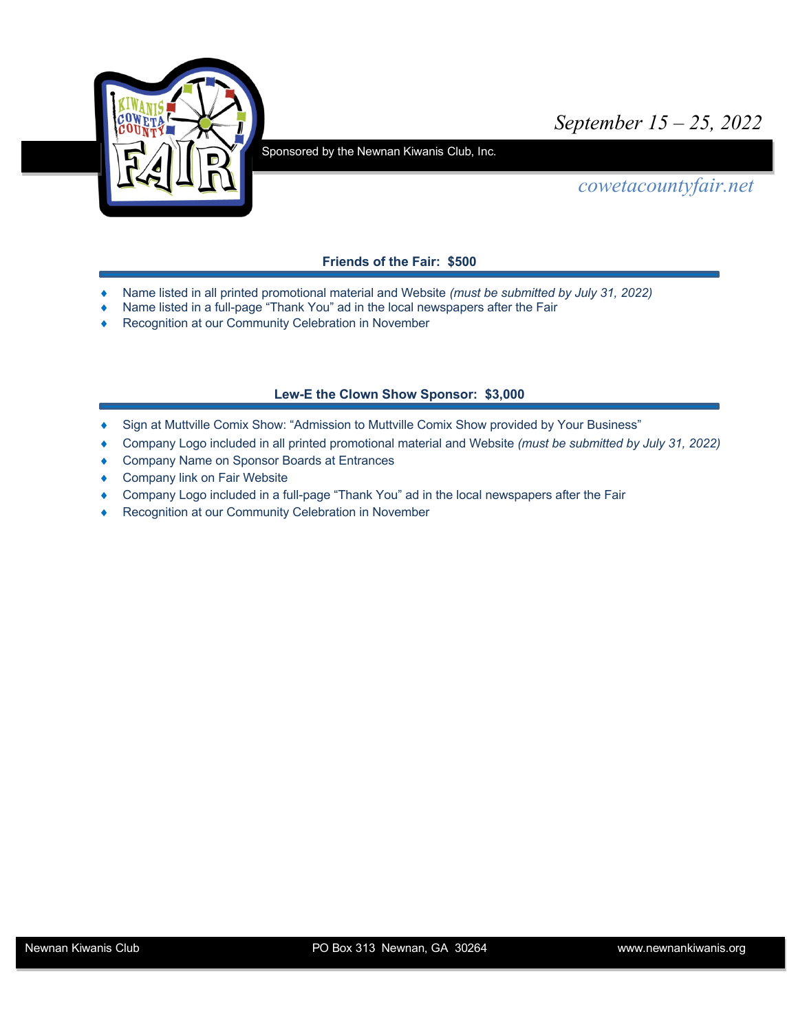

## *September 15 – 25, 2022*

Sponsored by the Newnan Kiwanis Club, Inc.

*cowetacountyfair.net*

#### **Friends of the Fair: \$500**

- ¨ Name listed in all printed promotional material and Website *(must be submitted by July 31, 2022)*
- ◆ Name listed in a full-page "Thank You" ad in the local newspapers after the Fair
- ◆ Recognition at our Community Celebration in November

#### **Lew-E the Clown Show Sponsor: \$3,000**

- ¨ Sign at Muttville Comix Show: "Admission to Muttville Comix Show provided by Your Business"
- ¨ Company Logo included in all printed promotional material and Website *(must be submitted by July 31, 2022)*
- ◆ Company Name on Sponsor Boards at Entrances
- ◆ Company link on Fair Website
- ◆ Company Logo included in a full-page "Thank You" ad in the local newspapers after the Fair
- ◆ Recognition at our Community Celebration in November